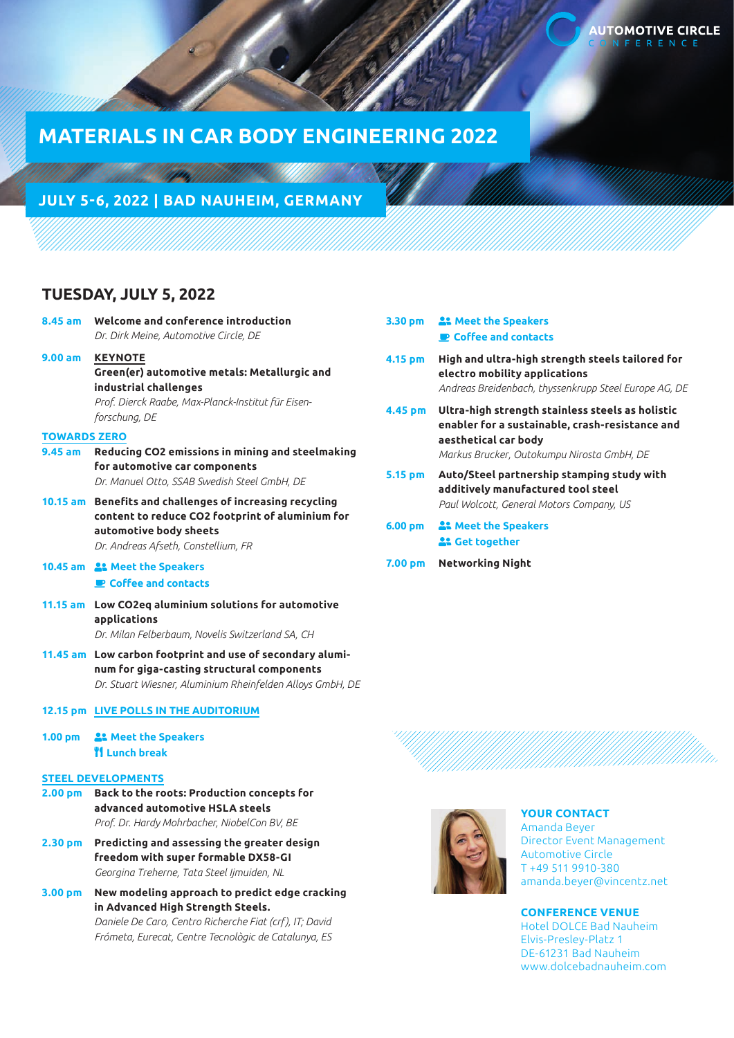# **MATERIALS IN CAR BODY ENGINEERING 2022**

## **JULY 5-6, 2022 | BAD NAUHEIM, GERMANY**

## **TUESDAY, JULY 5, 2022**

|                     | 8.45 am Welcome and conference introduction<br>Dr. Dirk Meine, Automotive Circle, DE                                                                                          | 3.30 pm            |   |
|---------------------|-------------------------------------------------------------------------------------------------------------------------------------------------------------------------------|--------------------|---|
| 9.00 a <sub>m</sub> | <b>KEYNOTE</b><br>Green(er) automotive metals: Metallurgic and<br>industrial challenges<br>Prof. Dierck Raabe, Max-Planck-Institut für Eisen-<br>forschung, DE                | 4.15 pm<br>4.45 pm |   |
| <b>TOWARDS ZERO</b> |                                                                                                                                                                               |                    |   |
| 9.45 am             | Reducing CO2 emissions in mining and steelmaking<br>for automotive car components<br>Dr. Manuel Otto, SSAB Swedish Steel GmbH, DE                                             | 5.15 pm            | / |
|                     | 10.15 am Benefits and challenges of increasing recycling<br>content to reduce CO2 footprint of aluminium for<br>automotive body sheets<br>Dr. Andreas Afseth, Constellium, FR | 6.00 <sub>pm</sub> |   |
|                     | 10.45 am <sup>2</sup> . Meet the Speakers<br>Coffee and contacts                                                                                                              | 7.00 pm            | ľ |
|                     | 11.15 am Low CO2eq aluminium solutions for automotive<br>applications<br>Dr. Milan Felberbaum, Novelis Switzerland SA, CH                                                     |                    |   |
|                     | 11.45 am Low carbon footprint and use of secondary alumi-<br>num for giga-casting structural components<br>Dr. Stuart Wiesner, Aluminium Rheinfelden Alloys GmbH, DE          |                    |   |
|                     | 12.15 pm LIVE POLLS IN THE AUDITORIUM                                                                                                                                         |                    |   |
| 1.00 <sub>pm</sub>  | <b>At Meet the Speakers</b><br><b>TI Lunch break</b>                                                                                                                          |                    |   |
|                     | <b>STEEL DEVELOPMENTS</b>                                                                                                                                                     |                    |   |
|                     | 2.00 pm Back to the roots: Production concepts for<br>advanced automotive HSLA steels<br>Prof. Dr. Hardy Mohrbacher, NiobelCon BV, BE                                         |                    |   |
| 2.30 <sub>pm</sub>  | Predicting and assessing the greater design<br>freedom with super formable DX58-GI<br>Georgina Treherne, Tata Steel Ijmuiden, NL                                              |                    |   |

**3.00 pm New modeling approach to predict edge cracking in Advanced High Strength Steels.** *Daniele De Caro, Centro Richerche Fiat (crf), IT; David Frómeta, Eurecat, Centre Tecnològic de Catalunya, ES*

|         | 3.30 pm <b>22</b> Meet the Speakers<br><b>P</b> Coffee and contacts                                                                                                       |
|---------|---------------------------------------------------------------------------------------------------------------------------------------------------------------------------|
| 4.15 pm | High and ultra-high strength steels tailored for<br>electro mobility applications<br>Andreas Breidenbach, thyssenkrupp Steel Europe AG, DE                                |
| 4.45 pm | Ultra-high strength stainless steels as holistic<br>enabler for a sustainable, crash-resistance and<br>aesthetical car body<br>Markus Brucker, Outokumpu Nirosta GmbH, DE |
| 5.15 pm | Auto/Steel partnership stamping study with<br>additively manufactured tool steel<br>Paul Wolcott, General Motors Company, US                                              |
| 6.00 pm | <b>22 Meet the Speakers</b><br><b>A: Get together</b>                                                                                                                     |
|         | 7.00 pm Networking Night                                                                                                                                                  |
|         |                                                                                                                                                                           |





### **YOUR CONTACT**

Amanda Beyer Director Event Management Automotive Circle T +49 511 9910-380 amanda.beyer@vincentz.net

## **CONFERENCE VENUE**

Hotel DOLCE Bad Nauheim Elvis-Presley-Platz 1 DE-61231 Bad Nauheim www.dolcebadnauheim.com